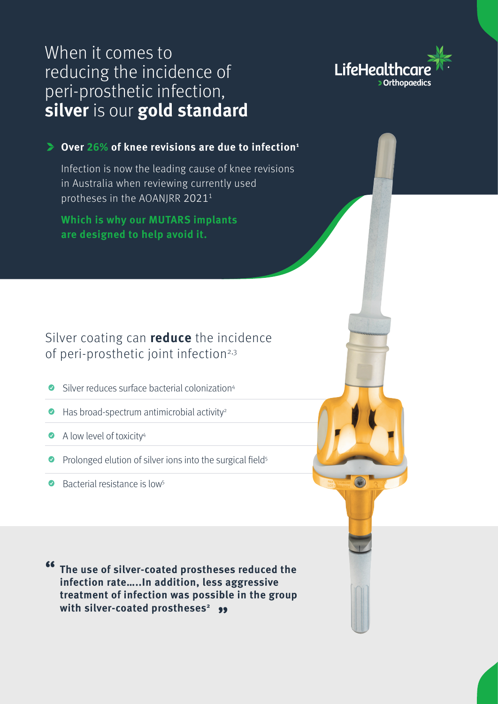# When it comes to reducing the incidence of peri-prosthetic infection, **silver** is our **gold standard**



### **Over 26% of knee revisions are due to infection1**

Infection is now the leading cause of knee revisions in Australia when reviewing currently used protheses in the AOANJRR 2021<sup>1</sup>

**Which is why our MUTARS implants are designed to help avoid it.**

## Silver coating can **reduce** the incidence of peri-prosthetic joint infection<sup>2,3</sup>

- Silver reduces surface bacterial colonization4
- $\bullet$  Has broad-spectrum antimicrobial activity<sup>2</sup>
- A low level of toxicity<sup>4</sup>
- Prolonged elution of silver ions into the surgical field<sup>5</sup>
- $\bullet$  Bacterial resistance is low<sup>5</sup>

**The use of silver-coated prostheses reduced the " infection rate…..In addition, less aggressive treatment of infection was possible in the group with silver-coated prostheses<sup>2</sup>**